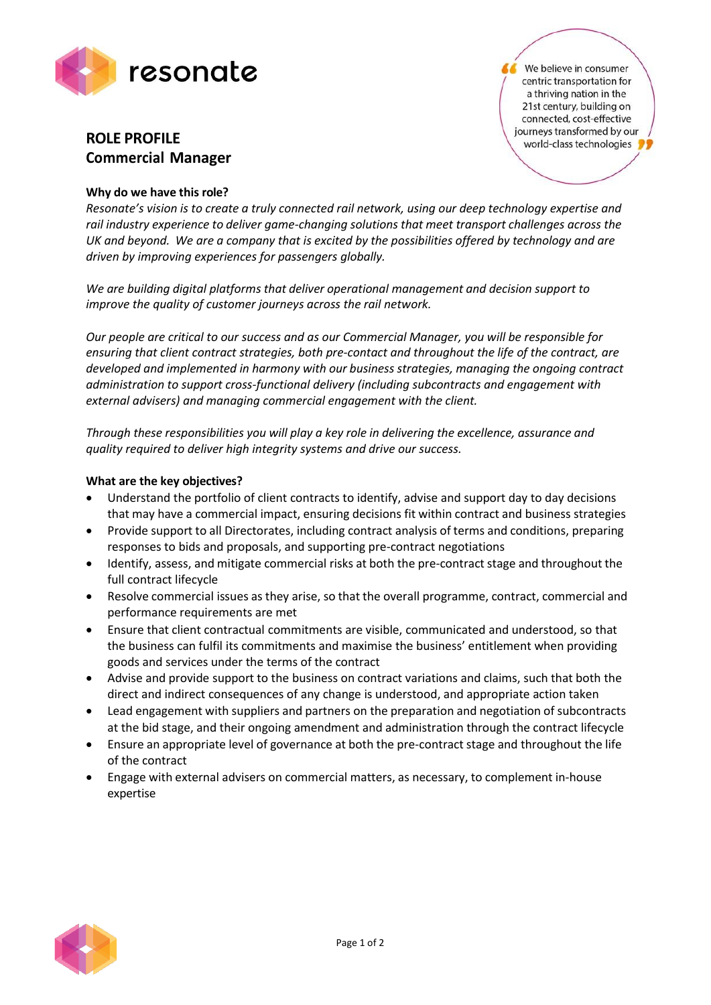

# **ROLE PROFILE Commercial Manager**

## **Why do we have this role?**

*Resonate's vision is to create a truly connected rail network, using our deep technology expertise and rail industry experience to deliver game-changing solutions that meet transport challenges across the UK and beyond. We are a company that is excited by the possibilities offered by technology and are driven by improving experiences for passengers globally.*

*We are building digital platforms that deliver operational management and decision support to improve the quality of customer journeys across the rail network.*

*Our people are critical to our success and as our Commercial Manager, you will be responsible for ensuring that client contract strategies, both pre-contact and throughout the life of the contract, are developed and implemented in harmony with our business strategies, managing the ongoing contract administration to support cross-functional delivery (including subcontracts and engagement with external advisers) and managing commercial engagement with the client.*

*Through these responsibilities you will play a key role in delivering the excellence, assurance and quality required to deliver high integrity systems and drive our success.*

## **What are the key objectives?**

- Understand the portfolio of client contracts to identify, advise and support day to day decisions that may have a commercial impact, ensuring decisions fit within contract and business strategies
- Provide support to all Directorates, including contract analysis of terms and conditions, preparing responses to bids and proposals, and supporting pre-contract negotiations
- Identify, assess, and mitigate commercial risks at both the pre-contract stage and throughout the full contract lifecycle
- Resolve commercial issues as they arise, so that the overall programme, contract, commercial and performance requirements are met
- Ensure that client contractual commitments are visible, communicated and understood, so that the business can fulfil its commitments and maximise the business' entitlement when providing goods and services under the terms of the contract
- Advise and provide support to the business on contract variations and claims, such that both the direct and indirect consequences of any change is understood, and appropriate action taken
- Lead engagement with suppliers and partners on the preparation and negotiation of subcontracts at the bid stage, and their ongoing amendment and administration through the contract lifecycle
- Ensure an appropriate level of governance at both the pre-contract stage and throughout the life of the contract
- Engage with external advisers on commercial matters, as necessary, to complement in-house expertise



We believe in consumer centric transportation for a thriving nation in the 21st century, building on connected, cost-effective journeys transformed by our world-class technologies